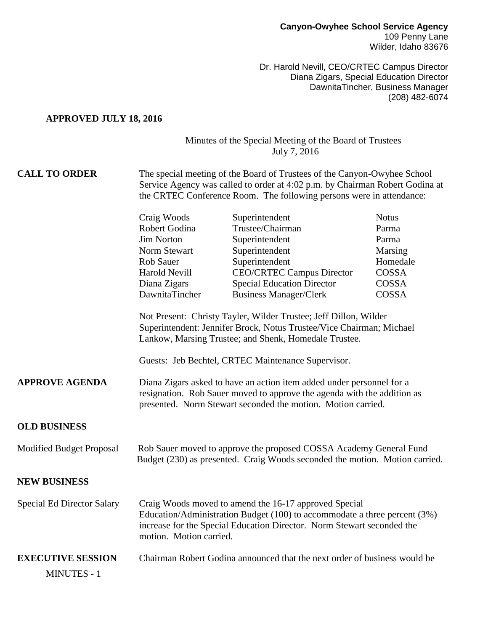Dr. Harold Nevill, CEO/CRTEC Campus Director Diana Zigars, Special Education Director DawnitaTincher, Business Manager (208) 482-6074

#### **APPROVED JULY 18, 2016**

## Minutes of the Special Meeting of the Board of Trustees July 7, 2016

## **CALL TO ORDER** The special meeting of the Board of Trustees of the Canyon-Owyhee School Service Agency was called to order at 4:02 p.m. by Chairman Robert Godina at the CRTEC Conference Room. The following persons were in attendance:

|                                   | Craig Woods                                                                                                                                                                                                                                             | Superintendent                    | <b>Notus</b> |
|-----------------------------------|---------------------------------------------------------------------------------------------------------------------------------------------------------------------------------------------------------------------------------------------------------|-----------------------------------|--------------|
|                                   | Robert Godina                                                                                                                                                                                                                                           | Trustee/Chairman                  | Parma        |
|                                   | <b>Jim Norton</b>                                                                                                                                                                                                                                       | Superintendent                    | Parma        |
|                                   | Norm Stewart                                                                                                                                                                                                                                            | Superintendent                    | Marsing      |
|                                   | <b>Rob Sauer</b>                                                                                                                                                                                                                                        | Superintendent                    | Homedale     |
|                                   | <b>Harold Nevill</b>                                                                                                                                                                                                                                    | <b>CEO/CRTEC Campus Director</b>  | COSSA        |
|                                   | Diana Zigars                                                                                                                                                                                                                                            | <b>Special Education Director</b> | COSSA        |
|                                   | DawnitaTincher                                                                                                                                                                                                                                          | <b>Business Manager/Clerk</b>     | <b>COSSA</b> |
|                                   | Not Present: Christy Tayler, Wilder Trustee; Jeff Dillon, Wilder<br>Superintendent: Jennifer Brock, Notus Trustee/Vice Chairman; Michael<br>Lankow, Marsing Trustee; and Shenk, Homedale Trustee.<br>Guests: Jeb Bechtel, CRTEC Maintenance Supervisor. |                                   |              |
|                                   |                                                                                                                                                                                                                                                         |                                   |              |
| <b>APPROVE AGENDA</b>             | Diana Zigars asked to have an action item added under personnel for a<br>resignation. Rob Sauer moved to approve the agenda with the addition as<br>presented. Norm Stewart seconded the motion. Motion carried.                                        |                                   |              |
| <b>OLD BUSINESS</b>               |                                                                                                                                                                                                                                                         |                                   |              |
| <b>Modified Budget Proposal</b>   | Rob Sauer moved to approve the proposed COSSA Academy General Fund<br>Budget (230) as presented. Craig Woods seconded the motion. Motion carried.                                                                                                       |                                   |              |
| <b>NEW BUSINESS</b>               |                                                                                                                                                                                                                                                         |                                   |              |
| <b>Special Ed Director Salary</b> | Craig Woods moved to amend the 16-17 approved Special<br>Education/Administration Budget (100) to accommodate a three percent (3%)<br>increase for the Special Education Director. Norm Stewart seconded the<br>motion. Motion carried.                 |                                   |              |
| <b>EXECUTIVE SESSION</b>          | Chairman Robert Godina announced that the next order of business would be                                                                                                                                                                               |                                   |              |
| <b>MINUTES - 1</b>                |                                                                                                                                                                                                                                                         |                                   |              |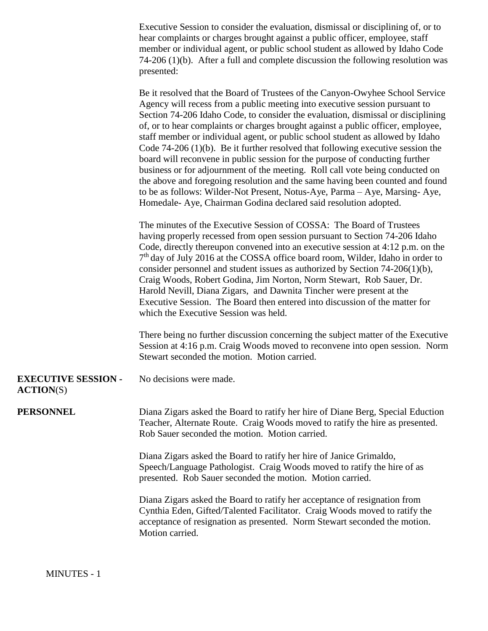Executive Session to consider the evaluation, dismissal or disciplining of, or to hear complaints or charges brought against a public officer, employee, staff member or individual agent, or public school student as allowed by Idaho Code 74-206 (1)(b). After a full and complete discussion the following resolution was presented:

Be it resolved that the Board of Trustees of the Canyon-Owyhee School Service Agency will recess from a public meeting into executive session pursuant to Section 74-206 Idaho Code, to consider the evaluation, dismissal or disciplining of, or to hear complaints or charges brought against a public officer, employee, staff member or individual agent, or public school student as allowed by Idaho Code 74-206 (1)(b). Be it further resolved that following executive session the board will reconvene in public session for the purpose of conducting further business or for adjournment of the meeting. Roll call vote being conducted on the above and foregoing resolution and the same having been counted and found to be as follows: Wilder-Not Present, Notus-Aye, Parma – Aye, Marsing- Aye, Homedale- Aye, Chairman Godina declared said resolution adopted.

The minutes of the Executive Session of COSSA: The Board of Trustees having properly recessed from open session pursuant to Section 74-206 Idaho Code, directly thereupon convened into an executive session at 4:12 p.m. on the 7<sup>th</sup> day of July 2016 at the COSSA office board room, Wilder, Idaho in order to consider personnel and student issues as authorized by Section 74-206(1)(b), Craig Woods, Robert Godina, Jim Norton, Norm Stewart, Rob Sauer, Dr. Harold Nevill, Diana Zigars, and Dawnita Tincher were present at the Executive Session. The Board then entered into discussion of the matter for which the Executive Session was held.

There being no further discussion concerning the subject matter of the Executive Session at 4:16 p.m. Craig Woods moved to reconvene into open session. Norm Stewart seconded the motion. Motion carried.

## **EXECUTIVE SESSION -** No decisions were made.

## **ACTION**(S)

**PERSONNEL** Diana Zigars asked the Board to ratify her hire of Diane Berg, Special Eduction Teacher, Alternate Route. Craig Woods moved to ratify the hire as presented. Rob Sauer seconded the motion. Motion carried.

> Diana Zigars asked the Board to ratify her hire of Janice Grimaldo, Speech/Language Pathologist. Craig Woods moved to ratify the hire of as presented. Rob Sauer seconded the motion. Motion carried.

Diana Zigars asked the Board to ratify her acceptance of resignation from Cynthia Eden, Gifted/Talented Facilitator. Craig Woods moved to ratify the acceptance of resignation as presented. Norm Stewart seconded the motion. Motion carried.